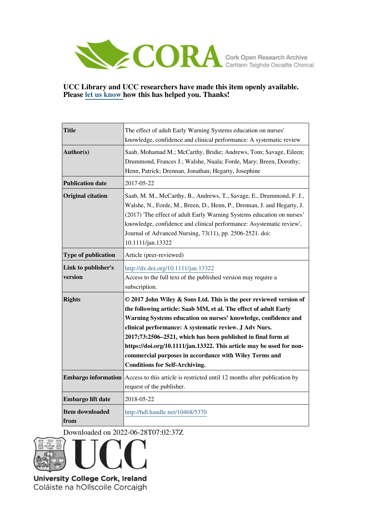

## **UCC Library and UCC researchers have made this item openly available. Please [let us know h](https://libguides.ucc.ie/openaccess/impact?suffix=5370&title=The effect of adult Early Warning Systems education on nurses)ow this has helped you. Thanks!**

| <b>Title</b>                   | The effect of adult Early Warning Systems education on nurses'<br>knowledge, confidence and clinical performance: A systematic review                                                                                                                                                                                                                                                                                                                                                                         |
|--------------------------------|---------------------------------------------------------------------------------------------------------------------------------------------------------------------------------------------------------------------------------------------------------------------------------------------------------------------------------------------------------------------------------------------------------------------------------------------------------------------------------------------------------------|
| Author(s)                      | Saab, Mohamad M.; McCarthy, Bridie; Andrews, Tom; Savage, Eileen;<br>Drummond, Frances J.; Walshe, Nuala; Forde, Mary; Breen, Dorothy;<br>Henn, Patrick; Drennan, Jonathan; Hegarty, Josephine                                                                                                                                                                                                                                                                                                                |
| <b>Publication date</b>        | 2017-05-22                                                                                                                                                                                                                                                                                                                                                                                                                                                                                                    |
| <b>Original citation</b>       | Saab, M. M., McCarthy, B., Andrews, T., Savage, E., Drummond, F. J.,<br>Walshe, N., Forde, M., Breen, D., Henn, P., Drennan, J. and Hegarty, J.<br>(2017) 'The effect of adult Early Warning Systems education on nurses'<br>knowledge, confidence and clinical performance: Asystematic review',<br>Journal of Advanced Nursing, 73(11), pp. 2506-2521. doi:<br>10.1111/jan.13322                                                                                                                            |
| <b>Type of publication</b>     | Article (peer-reviewed)                                                                                                                                                                                                                                                                                                                                                                                                                                                                                       |
| Link to publisher's<br>version | http://dx.doi.org/10.1111/jan.13322<br>Access to the full text of the published version may require a<br>subscription.                                                                                                                                                                                                                                                                                                                                                                                        |
| <b>Rights</b>                  | © 2017 John Wiley & Sons Ltd. This is the peer reviewed version of<br>the following article: Saab MM, et al. The effect of adult Early<br>Warning Systems education on nurses' knowledge, confidence and<br>clinical performance: A systematic review. J Adv Nurs.<br>2017;73:2506-2521, which has been published in final form at<br>https://doi.org/10.1111/jan.13322. This article may be used for non-<br>commercial purposes in accordance with Wiley Terms and<br><b>Conditions for Self-Archiving.</b> |
| <b>Embargo information</b>     | Access to this article is restricted until 12 months after publication by<br>request of the publisher.                                                                                                                                                                                                                                                                                                                                                                                                        |
| Embargo lift date              | 2018-05-22                                                                                                                                                                                                                                                                                                                                                                                                                                                                                                    |
| <b>Item downloaded</b><br>from | http://hdl.handle.net/10468/5370                                                                                                                                                                                                                                                                                                                                                                                                                                                                              |

Downloaded on 2022-06-28T07:02:37Z



University College Cork, Ireland Coláiste na hOllscoile Corcaigh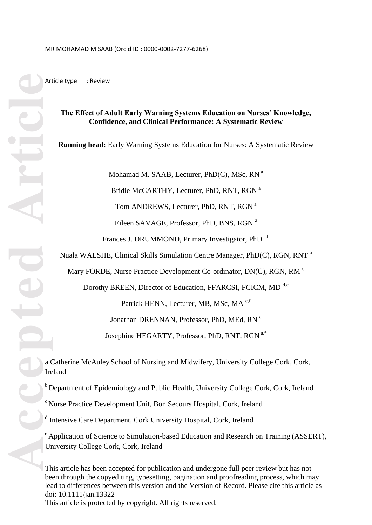Article type : Review

## **The Effect of Adult Early Warning Systems Education on Nurses' Knowledge, Confidence, and Clinical Performance: A Systematic Review**

**Running head:** Early Warning Systems Education for Nurses: A Systematic Review

Mohamad M. SAAB, Lecturer, PhD(C), MSc, RN<sup>a</sup>

Bridie McCARTHY, Lecturer, PhD, RNT, RGN<sup>a</sup>

Tom ANDREWS, Lecturer, PhD, RNT, RGN<sup>a</sup>

Eileen SAVAGE, Professor, PhD, BNS, RGN<sup>a</sup>

Frances J. DRUMMOND, Primary Investigator, PhD<sup>a,b</sup>

Nuala WALSHE, Clinical Skills Simulation Centre Manager, PhD(C), RGN, RNT<sup>a</sup>

Mary FORDE, Nurse Practice Development Co-ordinator, DN(C), RGN, RM<sup>c</sup>

Dorothy BREEN, Director of Education, FFARCSI, FCICM, MD<sup>d,e</sup>

Patrick HENN, Lecturer, MB, MSc, MA<sup>e,f</sup>

Jonathan DRENNAN, Professor, PhD, MEd, RN<sup>a</sup>

Josephine HEGARTY, Professor, PhD, RNT, RGN<sup>a,\*</sup>

a Catherine McAuley School of Nursing and Midwifery, University College Cork, Cork, Ireland

 $b$  Department of Epidemiology and Public Health, University College Cork, Cork, Ireland

<sup>c</sup> Nurse Practice Development Unit, Bon Secours Hospital, Cork, Ireland

<sup>d</sup> Intensive Care Department, Cork University Hospital, Cork, Ireland

<sup>e</sup> Application of Science to Simulation-based Education and Research on Training (ASSERT), University College Cork, Cork, Ireland

This article has been accepted for publication and undergone full peer review but has not been through the copyediting, typesetting, pagination and proofreading process, which may lead to differences between this version and the Version of Record. Please cite this article as doi: 10.1111/jan.13322 This article is protected by copyright. All rights reserved.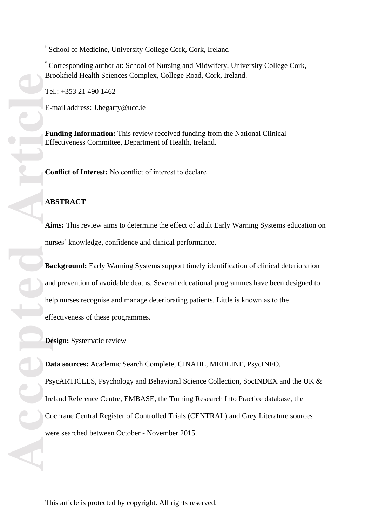<sup>f</sup> School of Medicine, University College Cork, Cork, Ireland

\* Corresponding author at: School of Nursing and Midwifery, University College Cork, Brookfield Health Sciences Complex, College Road, Cork, Ireland.

Tel.: +353 21 490 1462

E-mail address: [J.hegarty@ucc.ie](mailto:J.hegarty@ucc.ie)

**Funding Information:** This review received funding from the National Clinical Effectiveness Committee, Department of Health, Ireland.

**Conflict of Interest:** No conflict of interest to declare

## **ABSTRACT**

**Aims:** This review aims to determine the effect of adult Early Warning Systems education on nurses' knowledge, confidence and clinical performance .

**Background:** Early Warning Systems support timely identification of clinical deterioration and prevention of avoidable deaths. Several educational programmes have been designed to help nurses recognise and manage deteriorating patients. Little is known as to the effectiveness of these programmes.

**Design:** Systematic review

<sup>r</sup> School of Medicine. University College Cork, Cork, Ire<br>
<sup>r</sup> Corresponding author at: School of Nursing and Midwit<br>Brookfield Health Sciences Complex, College Road, Cor<br>
Tel.: +353 21 490 1462<br>
E-mail address: J.hegarty **Data sources :** Academic Search Complete, CINAHL, MEDLINE, PsycINFO, PsycARTICLES, Psychology and Behavioral Science Collection, SocINDEX and the UK & Ireland Reference Centre, EMBASE, the Turning Research Into Practice database, the Cochrane Central Register of Controlled Trials (CENTRAL) and Grey Literature sources were searched between October - November 2015.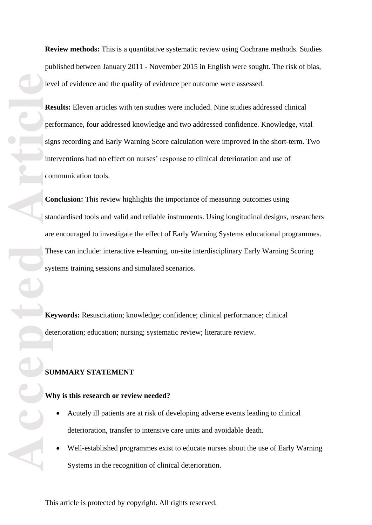**Review methods:** This is a quantitative systematic review using Cochrane methods. Studies published between January 2011 - November 2015 in English were sought. The risk of bias, level of evidence and the quality of evidence per outcome were assessed.

**Results :** Eleven articles with ten studies were included. Nine studies addressed clinical performance, four addressed knowledge and two addressed confidence. Knowledge, vital signs recording and Early Warning Score calculation were improved in the short -term. Two interventions had no effect on nurses' response to clinical deterioration and use of communication tools.

**Accepted Articles Inc.**<br> **Article**<br> **Articles Articles Co**<br> **Articles Co**<br> **Articles Co**<br> **Articles Co**<br> **Articles Co**<br> **Articles Co**<br> **Articles Co**<br> **Articles Co**<br> **Articles Co**<br> **Articles Co**<br> **Articles Conclusion :** This review highlights the importance of measuring outcomes using standardised tools and valid and reliable instruments. Using longitudinal designs, researchers are encouraged to investigate the effect of Early Warning Systems educational programmes. These can include: interactive e -learning, on -site interdisciplinary Early Warning Scoring systems training sessions and simulated scenarios.

**Keywords:** Resuscitation; knowledge; confidence; clinical performance; clinical deterioration; education; nursing; systematic review; literature review.

# **SUMMARY STATEMENT**

### **Why is this research or review needed?**

- Acutely ill patients are at risk of developing adverse events leading to clinical deterioration, transfer to intensive care units and avoidable death .
- Well-established programmes exist to educate nurses about the use of Early Warning Systems in the recognition of clinical deterioration.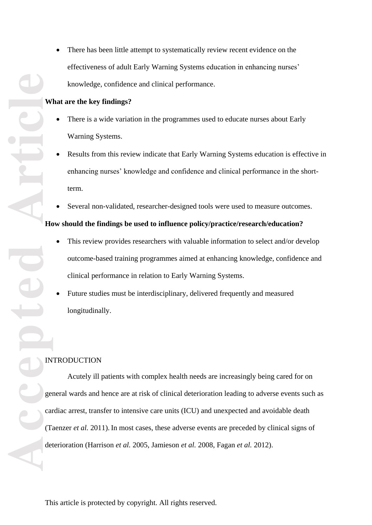effectiveness of adult Early Warning Systems education in enhancing nurses' knowledge, confidence and clinical performance .

#### **What are the key findings?**

- There is a wide variation in the programmes used to educate nurses about Early Warning Systems.
- Results from this review indicate that Early Warning Systems education is effective in enhancing nurses' knowledge and confidence and clinical performance in the short term.
- Several non-validated, researcher-designed tools were used to measure outcomes.

#### **How should the findings be used to influence policy/practice/research/education?**

- This review provides researchers with valuable information to select and/or develop outcome -based training programmes aimed at enhancing knowledge, confidence and clinical performance in relation to Early Warning Systems.
- Future studies must be interdisciplinary, delivered frequently and measured longitudinally.

### INTRODUCTION

**Accepted Article** • There has been little attempt to systematically review recent evidence on the effectiveness of adult Early Warning Systems education in enhancing rures:<br> **kurat art the key findings?**<br>
• There is a wide variation in the Acutely ill patients with complex health needs are increasingly being cared for on general wards and hence are at risk of clinical deterioration leading to adverse events such as cardiac arrest, transfer to intensive care units (ICU) and unexpected and avoidable death (Taenzer *et al.* 2011). In most cases, these adverse events are preceded by clinical signs of deterioration (Harrison *et al.* 2005, Jamieson *et al.* 2008, Fagan *et al.* 2012).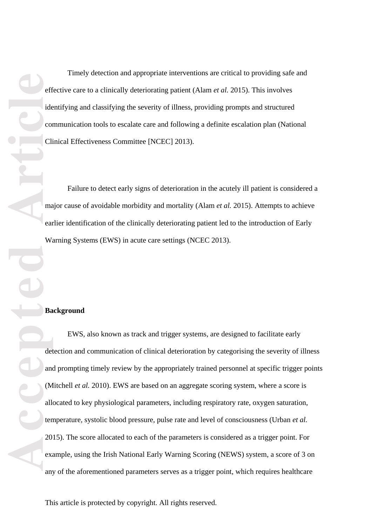**Accepted Article**

Timely detection and appropriate interventions are critical to providing safe and effective care to a clinically deteriorating patient (Alam *et al.* 2015). This involves identifying and classifying the severity of illness, providing prompts and structured communication tools to escalate care and following a definite escalation plan (National Clinical Effectiveness Committee [NCEC] 2013).

Failure to detect early signs of deterioration in the acutely ill patient is considered a major cause of avoidable morbidity and mortality (Alam *et al.* 2015). Attempts to achieve earlier identification of the clinically deteriorating patient led to the introduction of Early Warning Systems (EWS) in acute care settings (NCEC 2013).

#### **Background**

EWS, also known as track and trigger systems, are designed to facilitate early detection and communication of clinical deterioration by categorising the severity of illness and prompting timely review by the appropriately trained personnel at specific trigger points (Mitchell *et al.* 2010). EWS are based on an aggregate scoring system, where a score is allocated to key physiological parameters, including respiratory rate, oxygen saturation, temperature, systolic blood pressure, pulse rate and level of consciousness (Urban *et al.*  2015). The score allocated to each of the parameters is considered as a trigger point. For example, using the Irish National Early Warning Scoring (NEWS) system, a score of 3 on any of the aforementioned parameters serves as a trigger point, which requires healthcare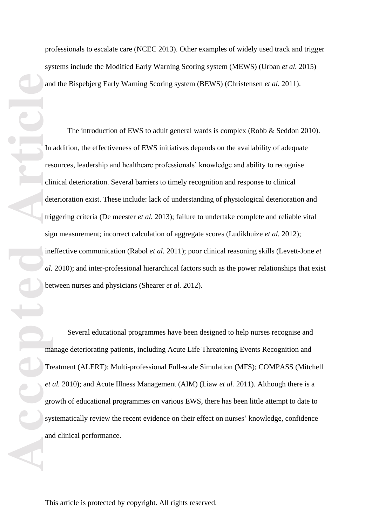professionals to escalate care (NCEC 2013). Other examples of widely used track and trigger systems include the Modified Early Warning Scoring system (MEWS) (Urban *et al.* 2015) and the Bispebjerg Early Warning Scoring system (BEWS) (Christensen *et al.* 2011) .

**Accepted Articles Contained Property** System and Tree clients and Determined Reserves and Tree clients are specifically approximated and allows are allows and  $\alpha L$ The introduction of EWS to adult general wards is complex (Robb & Seddon 2010). In addition, the effectiveness of EWS initiatives depends on the availability of adequate resources, leadership and healthcare professionals' knowledge and ability to recognise clinical deterioration. Several barriers to timely recognition and response to clinical deterioration exist. These include: lack of understanding of physiological deterioration and triggering criteria (De meester *et al.* 2013); failure to undertake complete and reliable vital sign measurement ; incorrect calculation of aggregate scores (Ludikhuize *et al.* 2012); ineffective communication (Rabol *et al.* 2011); poor clinical reasoning skills (Levett -Jone *et*  al. 2010); and inter-professional hierarchical factors such as the power relationships that exist between nurses and physicians (Shearer *et al.* 2012).

Several educational programmes have been designed to help nurses recognise and manage deteriorating patients, including Acute Life Threatening Events Recognition and Treatment (ALERT); Multi -professional Full -scale Simulation (MFS); COMPASS (Mitchell *et al.* 2010); and Acute Illness Management (AIM) (Liaw *et al.* 2011). Although there is a growth of educational programmes on various EWS, there has been little attempt to date to systematically review the recent evidence on their effect on nurses' knowledge, confidence and clinical performance.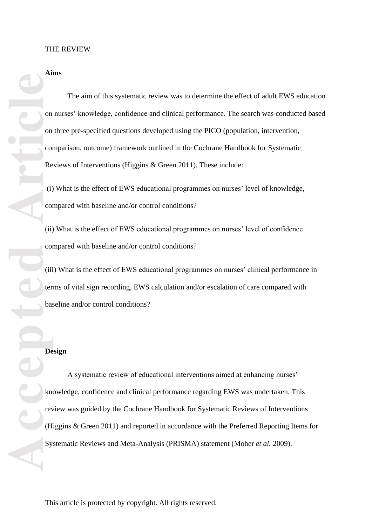**Aim s**

The aim of this systematic review was to determine the effect of adult EWS education on nurses' knowledge, confidence and clinical performance. The search was conducted based on three pre -specified questions developed using the PICO (population, intervention, comparison, outcome) framework outlined in the Cochrane Handbook for Systematic Reviews of Interventions (Higgins & Green 2011). These include:

(i) What is the effect of EWS educational programmes on nurses' level of knowledge, compared with baseline and/or control conditions?

(ii) What is the effect of EWS educational programmes on nurses' level of confidence compared with baseline and/or control conditions?

(iii) What is the effect of EWS educational programmes on nurses' clinical performance in terms of vital sign recording, EWS calculation and/or escalation of care compared with baseline and/or control conditions ?

# **Design**

**Accepted Articles Contains and Conduct Conduct Conduct Conduct Conduct Conduct Conduct Conduct Conduct Conduct Conduct Conduct Conduct Conduct Conduct Conduct Conduct Conduct Conduct Conduct Conduct Conduct Conduct Cond** A systematic review of educational interventions aimed at enhancing nurses' knowledge, confidence and clinical performance regarding EWS was undertaken. This review was guided by the Cochrane Handbook for Systematic Reviews of Interventions (Higgins & Green 2011) and reported in accordance with the Preferred Reporting Items for Systematic Reviews and Meta -Analysis (PRISMA) statement (Moher *et al.* 2009).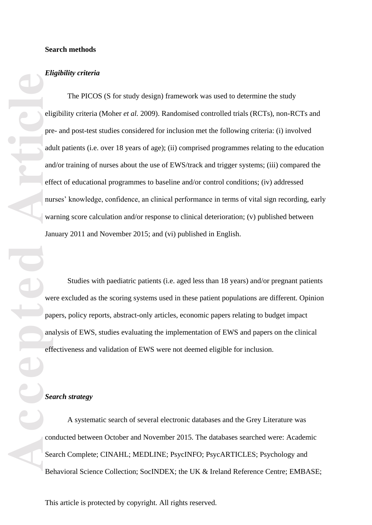#### **Search methods**

#### *Eligibility criteria*

The PICOS (S for study design) framework was used to determine the study eligibility criteria (Moher et al. 2009). Randomised controlled trials (RCTs), non-RCTs and pre - and post -test studies considered for inclusion met the following criteria: (i) involved adult patients (i.e. over 18 years of age); (ii) comprised programmes relating to the education and/or training of nurses about the use of EWS/track and trigger systems; (iii) compared the effect of educational programmes to baseline and/or control conditions ; (iv) addressed nurses' knowledge, confidence, an clinical performance in terms of vital sign recording, early warning score calculation and/or response to clinical deterioration; (v) published between January 2011 and November 2015; and ( v i) published in English.

Studies with paediatric patients (i.e. aged less than 18 years ) and/or pregnant patients were excluded as the scoring systems used in these patient populations are different. Opinion papers, policy reports, abstract -only articles, economic papers relating to budget impact analysis of EWS, studies evaluating the implementation of EWS and papers on the clinical effectiveness and validation of EWS were not deemed eligible for inclusion.

### *Search strategy*

A systematic search of several electronic databases and the Grey Literature was conducted between October and November 2015. The databases searched were: Academic Search Complete; CINAHL; MEDLINE; PsycINFO; PsycARTICLES; Psychology and Behavioral Science Collection; SocINDEX; the UK & Ireland Reference Centre; EMBASE;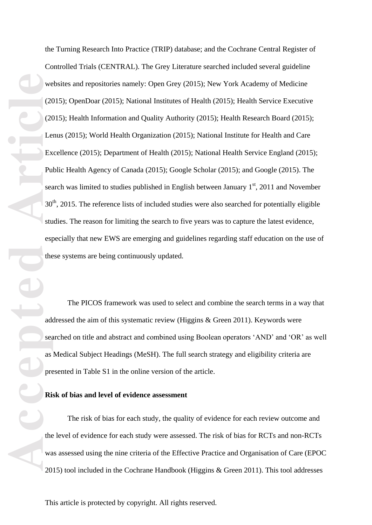the Turning Research Into Practice (TRIP) database; and the Cochrane Central Register of Controlled Trials (CENTRAL) . The Grey Literature searched included several guideline websites and repositories namely: Open Grey (2015) ; New York Academy of Medicine (2015) ; OpenDoar (2015) ; National Institutes of Health (2015) ; Health Service Executive (2015 ) ; Health Information and Quality Authority (2015) ; Health Research Board (2015) ; Lenus (2015) ; World Health Organization (2015) ; National Institute for Health and Care Excellence (2015); Department of Health (2015) ; National Health Service England (2015); Public Health Agency of Canada (2015) ; Google Scholar (2015) ; and Google (2015) . The search was limited to studies published in English between January  $1<sup>st</sup>$ , 2011 and November 30<sup>th</sup>, 2015. The reference lists of included studies were also searched for potentially eligible studies. The reason for limiting the search to five years was to capture the latest evidence, especially that new EWS are emerging and guidelines regarding staff education on the use of these systems are being continuously updated.

The PICOS framework was used to select and combine the search terms in a way that addressed the aim of this systematic review (Higgins & Green 2011 ). Keywords were searched on title and abstract and combined using Boolean operators 'AND' and 'OR' as well as Medical Subject Headings (MeSH). The full search strategy and eligibility criteria are presented in Table S1 in the online version of the article.

### **Risk of bias and level of evidence assessment**

The risk of bias for each study, the quality of evidence for each review outcome and the level of evidence for each study were assessed. The risk of bias for RCTs and non -RCTs was assessed using the nine criteria of the Effective Practice and Organisation of Care (EPOC 2015) tool included in the Cochrane Handbook (Higgins & Green 2011). This tool addresses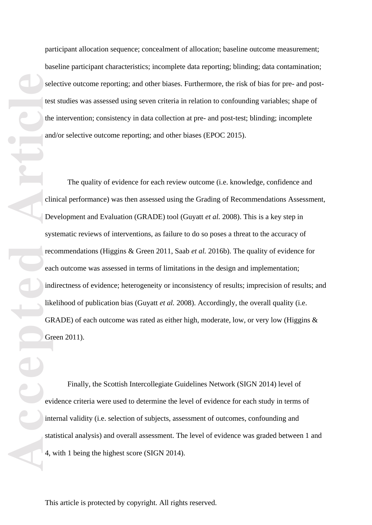participant allocation sequence; concealment of allocation; baseline outcome measurement; baseline participant characteristics ; incomplete data reporting; blinding; data contamination; selective outcome reporting; and other biases. Furthermore, the risk of bias for pre- and posttest studies was assessed using seven criteria in relation to confounding variables; shape of the intervention; consistency in data collection at pre - and post -test ; blinding; incomplete and/or selective outcome reporting; and other biases (EPOC 2015).<br>The quality of evidence for each review outcome (i.e. knowledge, confidence and

**Accepted**<br> **Accepted**<br> **Article**<br> **Article**<br> **Article**<br> **Article**<br> **Article**<br> **Article**<br> **Article**<br> **Article**<br> **Article**<br> **Article**<br> **Article**<br> **Article**<br> **Article**<br> **Article**<br> **Article**<br> **Article**<br> **Article**<br> **Article**<br> clinical performance) was then assessed using the Grading of Recommendations Assessment, Development and Evaluation (GRADE) tool (Guyatt *et al.* 2008). This is a key step in systematic reviews of interventions, as failure to do so poses a threat to the accuracy of recommendations (Higgins & Green 2011, Saab et al. 2016b). The quality of evidence for each outcome was assessed in terms of limitations in the design and implementation; indirectness of evidence; heterogeneity or inconsistency of results; imprecision of results; and likelihood of publication bias (Guyatt *et al.* 2008). Accordingly, the overall quality (i.e. GRADE) of each outcome was rated as either high, moderate, low, or very low (Higgins  $\&$ Green 2011).

Finally, the Scottish Intercollegiate Guidelines Network (SIGN 2014) level of evidence criteria were used to determine the level of evidence for each study in terms of internal validity (i.e. selection of subjects, assessment of outcomes, confounding and statistical analysis) and overall assessment. The level of evidence was graded between 1 and 4, with 1 being the highest score (SIGN 2014) .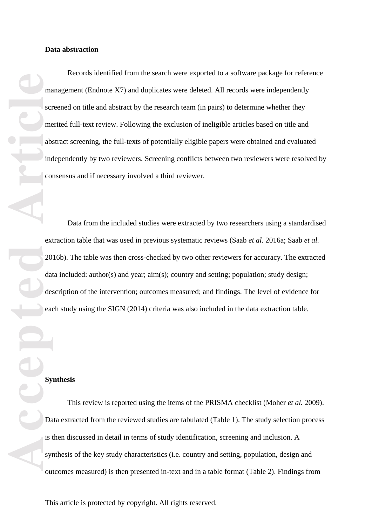**Accepted Articles Constructed Articles Constructed Articles Constructed Articles Constructed Property Constructed Articles Constructed Property Constructed Property Constructed Property Constructed Property Cons** Records identified from the search were exported to a software package for reference management (Endnote X7) and duplicates were deleted. All records were independently screened on title and abstract by the research team (in pairs) to determine whether they merited full -text review. Following the exclusion of ineligible articles based on title and abstract screening, the full -texts of potentially eligible papers were obtained and evaluated independently by two reviewers. Screening conflicts between two reviewers were resolved by consensus and if necessary involved a third reviewer.

Data from the included studies were extracted by two researcher s using a standardised extraction table that was used in previous systematic reviews (Saab *et al.* 2016a; Saab *et al.*  2016 b). The table was then cross -checked by two other reviewers for accuracy. The extracted data included: author(s) and year; aim(s); country and setting; population; study design; description of the intervention; outcomes measured; and findings. The level of evidence for each study using the SIGN (2014) criteria was also included in the data extraction table.

## **Synthesis**

This review is reported using the items of the PRISMA checklist (Moher *et al.* 2009). Data extracted from the reviewed studies are tabulated (Table 1 ) . The study selection process is then discussed in detail in terms of study identification, screening and inclusion. A synthesis of the key study characteristics (i.e. country and setting, population, design and outcomes measured) is then presented in -text and in a table format (Table 2). Findings from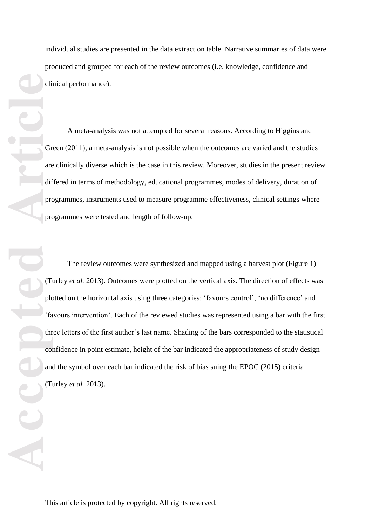individual studies are presented in the data extraction table. Narrative summaries of data were produced and grouped for each of the review outcomes (i.e. knowledge, confidence and clinical performance).

A meta -analysis was not attempted for several reasons. According to Higgins and Green (2011), a meta -analysis is not possible when the outcomes are varied and the studies are clinically diverse which is the case in this review. Moreover, studies in the present review differed in terms of methodology, educational programmes, modes of delivery, duration of programmes, instruments used to measure programme effectiveness, clinical settings where programmes were tested and length of follow -up.

**Contract of the Contract of the Contract of the Contract of the Contract of the Contract of the Contract of the Contract of the Contract of the Contract of the Contract of the Contract of the Contract of the Contract of t** The review outcomes were synthesized and mapped using a harvest plot (Figure 1) (Turley *et al.* 2013). Outcomes were plotted on the vertical axis. The direction of effects was plotted on the horizontal axis using three categories : 'favours control', 'no difference' and 'favours intervention'. Each of the reviewed studies was represented using a bar with the first three letters of the first author's last name. Shading of the bars corresponded to the statistical confidence in point estimate, height of the bar indicated the appropriateness of study design and the symbol over each bar indicated the risk of bias suing the EPOC (2015) criteria (Turley *et al.* 2013).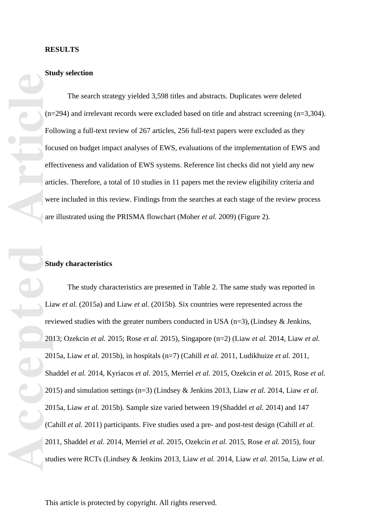### **Study selection**

The search strategy yielded 3 ,598 titles and abstracts. Duplicates were deleted  $(n=294)$  and irrelevant records were excluded based on title and abstract screening  $(n=3,304)$ . Following a full-text review of 267 articles, 256 full-text papers were excluded as they focused on budget impact analyses of EWS, evaluations of the implementation of EWS and effectiveness and validation of EWS systems. Reference list checks did not yield any new articles. Therefore, a total of 10 studies in 11 papers met the review eligibility criteria and were included in this review. Findings from the searches at each stage of the review process are illustrated using the PRISMA flowchart (Moher *et al.* 2009) (Figure 2 ).

#### **Study characteristics**

Form and the state of the state of the state of the state of the state of the state of the state of the state of the state of the state of the state of the state of the state of the state of the state of the state of the s The study characteristics are presented in Table 2 . The same study was reported in Liaw *et al.* (2015a) and Liaw *et al.* (2015b). Six countries were represented across the reviewed studies with the greater numbers conducted in USA (n=3), (Lindsey & Jenkins, 2013; Ozekcin *et al.* 2015; Rose *et al.* 2015), Singapore (n=2 ) (Liaw *et al.* 2014, Liaw *et al.* 2015a, Liaw *et al.* 2015b), in hospitals (n=7) (Cahill *et al.* 2011, Ludikhuize *et al.* 2011, Shaddel *et al.* 2014, Kyriacos *et al.* 2015, Merriel *et al.* 2015, Ozekcin *et al.* 2015, Rose *et al.* 2015) and simulation settings (n=3) (Lindsey & Jenkins 2013, Liaw *et al.* 2014, Liaw *et al.* 2015a, Liaw *et al.* 2015b). Sample size varied between 19 (Shaddel *et al.* 2014) and 147 (Cahill *et al.* 2011) participants. Five studies used a pre - and post -test design (Cahill *et al.* 2011, Shaddel *et al.* 2014, Merriel *et al.* 2015, Ozekcin *et al.* 2015, Rose *et al.* 2015), four studies were RCTs (Lindsey & Jenkins 2013, Liaw *et al.* 2014, Liaw *et al.* 2015a, Liaw *et al.*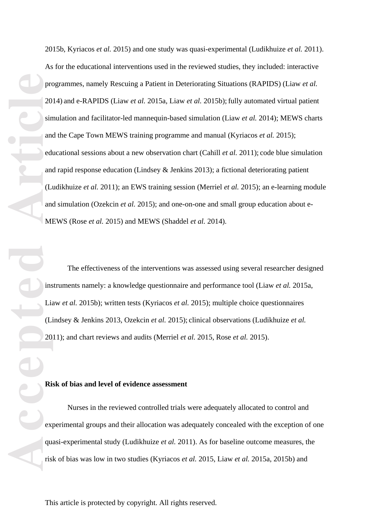2015b, Kyriacos *et al.* 2015) and one study was quasi -experimental (Ludikhuize *et al.* 2011). As for the educational interventions used in the reviewed studies, they included: interactive programmes, namely Rescuing a Patient in Deteriorating Situations (RAPIDS) (Liaw *et al.* 2014) and e -RAPIDS (Liaw *et al.* 2015a, Liaw *et al.* 2015b) ;fully automated virtual patient simulation and facilitator-led mannequin-based simulation (Liaw et al. 2014); MEWS charts and the Cape Town MEWS training programme and manual (Kyriacos *et al.* 2015); educational sessions about a new observation chart (Cahill *et al.* 2011); code blue simulation and rapid response education (Lindsey & Jenkins 2013) ; a fictional deteriorating patient (Ludikhuize et al. 2011); an EWS training session (Merriel et al. 2015); an e-learning module and simulation (Ozekcin et al. 2015); and one-on-one and small group education about e-MEWS (Rose *et al.* 2015) and MEWS (Shaddel *et al.* 2014).

The effectiveness of the interventions was assessed using several researcher designed instruments namely: a knowledge questionnaire and performance tool (Liaw *et al.* 2015a, Liaw *et al.* 2015b); written tests (Kyriacos *et al.* 2015) ; multiple choice questionnaires (Lindsey & Jenkins 2013, Ozekcin *et al.* 2015) ; clinical observations (Ludikhuize *et al.* 2011) ; and chart reviews and audits (Merriel *et al.* 2015, Rose *et al.* 2015).

#### **Risk of bias and level of evidence assessment**

Nurses in the reviewed controlled trials were adequately allocated to control and experimental groups and their allocation was adequately concealed with the exception of one quasi -experimental study (Ludikhuize *et al.* 2011). As for baseline outcome measures, the risk of bias was low in two studies (Kyriacos *et al.* 2015, Liaw *et al.* 2015a, 2015b) and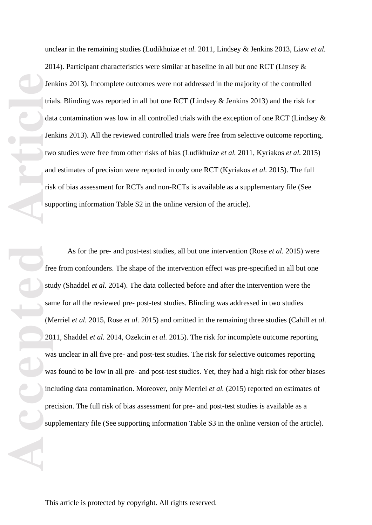unclear in the remaining studies (Ludikhuize *et al.* 2011, Lindsey & Jenkins 2013, Liaw *et al.* 2014 ). Participant characteristics were similar at baseline in all but one RCT (Linsey & Jenkins 2013). Incomplete outcomes were not addressed in the majority of the controlled trials. Blinding was reported in all but one RCT (Lindsey & Jenkins 2013) and the risk for data contamination was low in all controlled trials with the exception of one RCT (Lindsey & Jenkins 2013). All the reviewed controlled trials were free from selective outcome reporting, two studies were free from other risks of bias (Ludikhuize *et al.* 2011, Kyriakos *et al.* 2015) and estimates of precision were reported in only one RCT (Kyriakos *et al.* 2015). The full risk of bias assessment for RCTs and non -RCTs is available as a supplementary file (See supporting information Table S2 in the online version of the article).

**Accepted Articles I Article**<br> **Accepted Articles I Articles I Articles I Articles I Articles I Articles I Articles I Articles I Articles I Articles I Articles I Articles I Articles I Articl** As for the pre - and post -test studies, all but one intervention (Rose *et al.* 2015) were free from confounders. The shape of the intervention effect was pre -specified in all but one study (Shaddel *et al.* 2014). The data collected before and after the intervention were the same for all the reviewed pre - post -test studies. Blinding was addressed in two studies (Merriel *et al.* 2015, Rose *et al.* 2015) and omitted in the remaining three studies (Cahill *et al.* 2011, Shaddel *et al.* 2014, Ozekcin *et al.* 2015). The risk for incomplete outcome reporting was unclear in all five pre - and post -test studies. The risk for selective outcomes reporting was found to be low in all pre - and post -test studies. Yet, they had a high risk for other biases including data contamination. Moreover, only Merriel *et al.* (2015) reported on estimates of precision. The full risk of bias assessment for pre - and post -test studies is available as a supplementary file (See supporting information Table S3 in the online version of the article).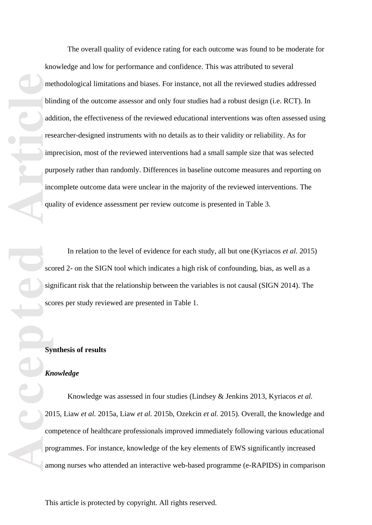**Accepted Articles** <br> **Accepted Articles in purince**<br> **Accepted Articles System**<br> **Articles System**<br> **Articles System**<br> **Articles System**<br> **Articles 20**<br> **Condensation** The overall quality of evidence rating for each outcome was found to be moderate for knowledge and low for performance and confidence. This was attributed to several methodological limitations and biases. For instance, not all the reviewed studies addressed blinding of the outcome assessor and only four studies had a robust design (i.e. RCT). In addition, the effectiveness of the reviewed educational interventions was often assessed using researcher -designed instruments with no details as to their validity or reliability. As for imprecision, most of the reviewed interventions had a small sample size that was selected purposely rather than randomly. Differences in baseline outcome measures and reporting on incomplete outcome data were unclear in the majority of the reviewed interventions. The quality of evidence assessment per review outcome is presented in Table 3.

In relation to the level of evidence for each study, all but one (Kyriacos *et al.* 2015) scored 2- on the SIGN tool which indicates a high risk of confounding, bias, as well as a significant risk that the relationship between the variables is not causal (SIGN 2014). The scores per study reviewed are presented in Table 1 .

### **Synthesis of results**

### *Knowledge*

Knowledge was assessed in four studies (Lindsey & Jenkins 2013, Kyriacos *et al.* 2015, Liaw *et al.* 2015a, Liaw *et al.* 2015b, Ozekcin *et al.* 2015) . Overall, the knowledge and competence of healthcare professionals improved immediately following various educational programmes. For instance, knowledge of the key elements of EWS significantly increased among nurses who attended an interactive web -based programme (e -RAPIDS) in comparison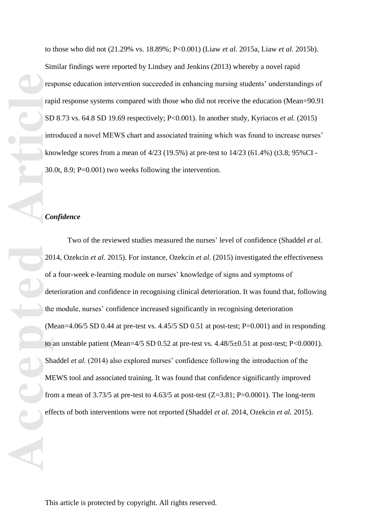to those who did not (21.29% vs. 18.89%; P < 0.001) (Liaw *et al.* 2015a, Liaw *et al.* 2015b). Similar findings were reported by Lindsey and Jenkins (2013) whereby a novel rapid response education intervention succeeded in enhancing nursing students' understandings of rapid response systems compared with those who did not receive the education (Mean=90.91 SD 8.73 vs. 64.8 SD 19.69 respectively; P < 0.001). In another study, Kyriacos *et al.* (2015) introduced a novel MEWS chart and associated training which was found to increase nurses' knowledge scores from a mean of 4/23 (19.5%) at pre-test to 14/23 (61.4%) (t3.8; 95%CI -30.0t, 8.9; P = 0.001) two weeks following the intervention.

### *Confidence*

Frage Reserved Strategy of the Contract of the Contract of the Contract of the Contract of the Contract of the Contract of the Contract of the Contract of the Contract of the Contract of the Contract of the Contract of the Two of the reviewed studies measured the nurses ' level of confidence (Shaddel *et al.* 2014, Ozekcin *et al.* 2015). For instance, Ozekcin *et al.* (2015) investigated the effectiveness of a four -week e -learning module on nurses' knowledge of signs and symptoms of deterioration and confidence in recognising clinical deterioration. It was found that, following the module, nurses' confidence increased significantly in recognising deterioration (Mean= $4.06/5$  SD 0.44 at pre-test vs.  $4.45/5$  SD 0.51 at post-test; P=0.001) and in responding to an unstable patient (Mean= $4/5$  SD 0.52 at pre-test vs.  $4.48/5 \pm 0.51$  at post-test; P<0.0001). Shaddel *et al.* (2014) also explored nurses' confidence following the introduction of the MEWS tool and associated training. It was found that confidence significantly improved from a mean of  $3.73/5$  at pre-test to  $4.63/5$  at post-test (Z=3.81; P=0.0001). The long-term effects of both intervention s were not reported (Shaddel *et al.* 2014, Ozekcin *et al.* 2015).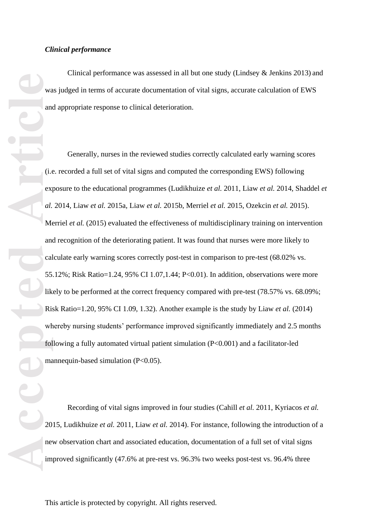Clinical performance was assessed in all but one study (Lindsey & Jenkins 2013) and was judged in terms of accurate documentation of vital signs, accurate calculation of EWS and appropriate response to clinical deterioration.

Generally, nurses in the reviewed studies correctly calculated early warning scores (i.e. recorded a full set of vital signs and computed the corresponding EWS) following exposure to the educational programmes (Ludikhuize *et al.* 2011, Liaw *et al.* 2014, Shaddel *et al.* 2014, Liaw *et al.* 2015a, Liaw *et al.* 2015b, Merriel *et al.* 2015, Ozekcin *et al.* 2015). Merriel *et al.* (2015) evaluated the effectiveness of multidisciplinary training on intervention and recognition of the deteriorating patient. It was found that nurses were more likely to calculate early warning scores correctly post-test in comparison to pre-test (68.02% vs. 55.12%; Risk Ratio=1.24, 95% CI 1.07,1.44; P < 0.01). In addition, observations were more likely to be performed at the correct frequency compared with pre-test (78.57% vs. 68.09%; Risk Ratio=1.20, 95% CI 1.09, 1.32). Another example is the study by Liaw *et al.* (2014) whereby nursing students' performance improved significantly immediately and 2.5 months following a fully automated virtual patient simulation (P<0.001) and a facilitator-led mannequin-based simulation (P<0.05).

Recording of vital signs improved in four studies (Cahill *et al.* 2011, Kyriacos *et al.* 2015, Ludikhuize *et al.* 2011, Liaw *et al.* 2014). For instance, following the introduction of a new observation chart and associated education, documentation of a full set of vital signs improved significantly (47.6% at pre -rest vs. 96.3% two weeks post -test vs. 96.4% three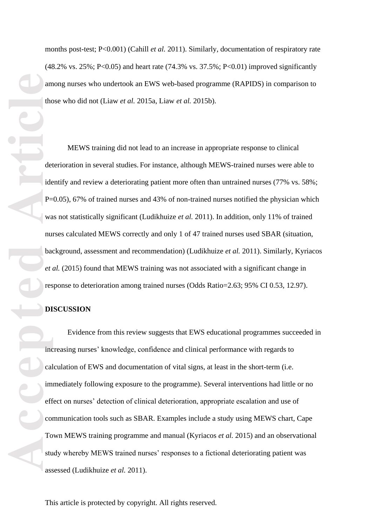months post-test; P<0.001) (Cahill *et al.* 2011). Similarly, documentation of respiratory rate (48.2% vs. 25 %; P < 0.05) and heart rate (74.3% vs. 37.5%; P < 0.01) improved significantly among nurses who undertook an EWS web -based programme (RAPIDS) in comparison to those who did not (Liaw *et al.* 2015a, Liaw *et al.* 2015b).

**Accepted Article**<br> **Article**<br> **Accepted**<br> **Article**<br> **Article**<br> **Article**<br> **Article**<br> **Article**<br> **Article**<br> **Article**<br> **Article**<br> **Article**<br> **Article**<br> **Article**<br> **Article**<br> **Article**<br> **Article**<br> **Article**<br> **Article**<br> MEWS training did not lead to an increase in appropriate response to clinical deterioration in several studies. For instance, although MEWS -trained nurses were able to identify and review a deteriorating patient more often than untrained nurses (77% vs. 58%;<br>P=0.05), 67% of trained nurses and 43% of non-trained nurses notified the physician which<br>was not statistically significant (Ludik nurses calculated MEWS correctly and only 1 of 47 trained nurse s used SBAR (situation, background, assessment and recommendation) (Ludikhuize *et al.* 2011). Similarly, Kyriacos *et al.* (2015) found that MEWS training was not associated with a significant change in response to deterioration among trained nurses (Odds Ratio=2.63; 95% CI 0.53, 12.97).

#### **DISCUSSION**

Evidence from this review suggests that EWS educational programmes succeeded in increasing nurses' knowledge, confidence and clinical performance with regards to calculation of EWS and documentation of vital signs, at least in the short -term (i.e. immediately following exposure to the programme). Several interventions had little or no effect on nurses' detection of clinical deterioration, appropriate escalation and use of communication tools such as SBAR. Examples include a study using MEWS chart, Cape Town MEWS training programme and manual (Kyriacos *et al.* 2015) and an observational study whereby MEWS trained nurses' responses to a fictional deteriorating patient was assessed (Ludikhuize *et al.* 2011).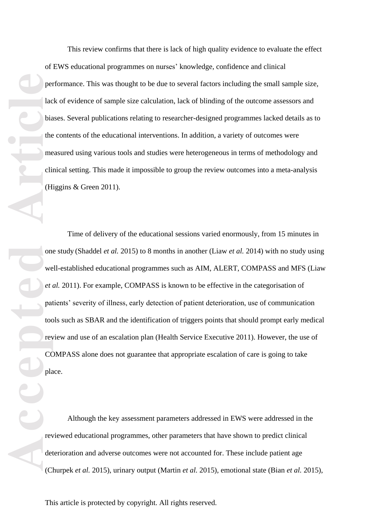This review confirms that there is lack of high quality evidence to evaluate the effect of EWS educational programmes on nurses' knowledge, confidence and clinical performance. This was thought to be due to several factors including the small sample size, lack of evidence of sample size calculation, lack of blinding of the outcome assessors and biases. Several publications relating to researcher -designed programmes lacked details as to the contents of the educational interventions. In addition, a variety of outcomes were measured using various tools and studies were heterogeneous in terms of methodology and clinical setting. This made it impossible to group the review outcomes into a meta -analysis (Higgins & Green 2011).

**Percent of the Contract of the Contract of the Contract of the Contract of the Contract of the Contract of the Contract of Contract of Contract of Contract of Contract of Contract of Contract of Contract of Contract of Co** Time of delivery of the educational sessions varied enormously, from 15 minutes in one study (Shaddel *et al.* 2015) to 8 months in another (Liaw *et al.* 2014) with no study using well -established educational programmes such as AIM, ALERT, COMPASS and MFS (Liaw *et al.* 2011). For example, COMPASS is known to be effective in the categorisation of patients' severity of illness, early detection of patient deterioration, use of communication tools such as SBAR and the identification of triggers points that should prompt early medical review and use of an escalation plan (Health Service Executive 2011). However, the use of COMPASS alone does not guarantee that appropriate escalation of care is going to take place.

Although the key assessment parameters addressed in EWS were addressed in the reviewed educational programmes, other parameters that have shown to predict clinical deterioration and adverse outcomes were not accounted for. These include patient age (Churpek *et al.* 2015), urinary output (Martin *et al.* 2015), emotional state (Bian *et al.* 2015),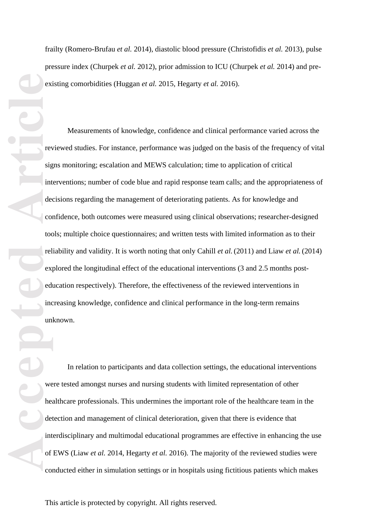pressure index (Churpek *et al.* 2012), prior admission to ICU (Churpek *et al.* 2014) and pre existing comorbidities (Huggan *et al.* 2015, Hegarty *et al.* 2016).

exi<br>
existed<br>
articles<br>
articles<br>
articles<br>
articles<br>
articles<br>
det<br>
int<br>
of<br>
com<br>
articles<br>
det<br>
int<br>
det<br>
articles<br>
articles<br>
det<br>
articles<br>
det<br>
articles<br>
det<br>
articles<br>
det <br>
articles<br>
det <br>
articles<br>
det <br>
articles<br>
d Tritley (Romero-Braftar *at at*, 2014), diastolic blood pressure (Christofidis *et al.* 2013), pulse<br>pressure index (Churpek *et al.* 2012), prior admission to ICU (Churpek *et al.* 2014) and pre-<br>existing comorbidities ( Measurements of knowledge, confidence and clinical performance varied across the reviewed studies. For instance, performance was judged on the basis of the frequency of vital signs monitoring; escalation and MEWS calculation; time to application of critical interventions; number of code blue and rapid response team calls; and the appropriateness of decisions regarding the management of deteriorating patients. As for knowledge and confidence, both outcomes were measured using clinical observations; researcher-designed tools; multiple choice questionnaires; and written tests with limited information as to their reliability and validity. It is worth noting that only Cahill *et al.*(2011) and Liaw *et al.* (2014) explored the longitudinal effect of the educational interventions (3 and 2.5 months post education respectively). Therefore, the effectiveness of the reviewed interventions in increasing knowledge, confidence and clinical performance in the long-term remains unknown.

In relation to participants and data collection settings, the educational interventions were tested amongst nurses and nursing students with limited representation of other healthcare professionals. This undermines the important role of the healthcare team in the detection and management of clinical deterioration, given that there is evidence that interdisciplinary and multimodal educational programmes are effective in enhancing the use of EWS (Liaw *et al.* 2014, Hegarty *et al.* 2016). The majority of the reviewed studies were conducted either in simulation settings or in hospitals using fictitious patients which makes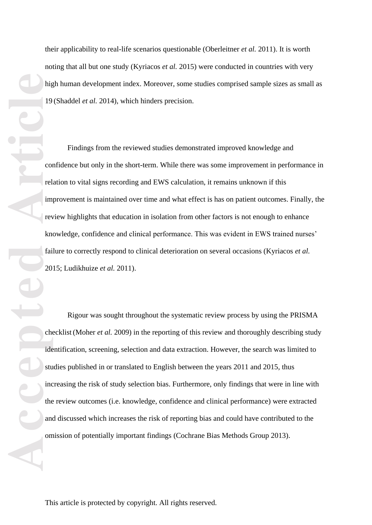their applicability to real -life scenarios questionable (Oberleitner *et al.* 2011). It is worth noting that all but one study (Kyriacos *et al.* 2015) were conducted in countries with very high human development index. Moreover, some studies comprised sample sizes as small as 19 (Shaddel *et al.* 2014) , which hinders precision .

Findings from the reviewed studies demonstrated improved knowledge and confidence but only in the short -term. While there was some improvement in performance in relation to vital signs recording and EWS calculation, it remains unknown if this improvement is maintained over time and what effect is has on patient outcomes. Finally, the review highlights that education in isolation from other factors is not enough to enhance knowledge, confidence and clinical performance. This was evident in EWS trained nurses' failure to correctly respond to clinical deterioration on several occasions (Kyriacos *et al.* 2015; Ludikhuize *et al.* 2011).

**Accepted Article**<br> **Article**<br> **Article**<br> **Article**<br> **Article**<br> **Article**<br> **Article**<br> **Article**<br> **Article**<br> **Article**<br> **Article**<br> **Article**<br> **Article**<br> **Article**<br> **Article**<br> **Article**<br> **Article**<br> **Article** Rigour was sought throughout the systematic review process by using the PRISMA checklist (Moher *et al.* 2009) in the reporting of this review and thoroughly describing study identification, screening, selection and data extraction. However, the search was limited to studies published in or translated to English between the years 2011 and 2015, thus increasing the risk of study selection bias. Furthermore, only findings that were in line with the review outcomes (i.e. knowledge, confidence and clinical performance) were extracted and discussed which increases the risk of reporting bias and could have contributed to the omission of potentially important findings (Cochrane Bias Methods Group 2013).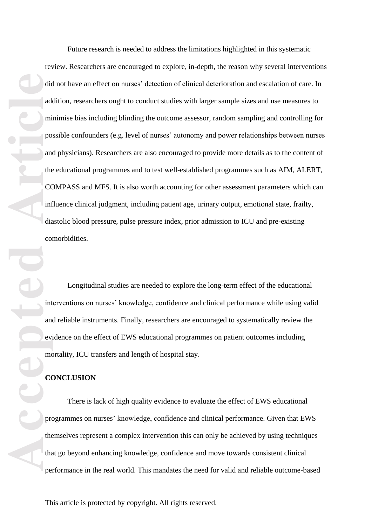did add mi<br>
po<br>
and the CC<br>
and the CC<br>
inf dia co<br>
evi me<br>
evi me<br>
evi me<br>
evi me<br>
evi me<br>
evi me<br>
evi me<br>
evi me<br>
evi me<br>
evi me<br>
evi me<br>
evi me<br>
evi me<br>
evi me<br>
evi me<br>
evi me<br>
evi me<br>
evi me<br>
evi me<br>
evi me<br>
evi me<br>
ev Future research is needed to address the limitations highlighted in this systematic review. Researchers are encouraged to explore, in -depth, the reason why several interventions did not have an effect on nurses' detection of clinical deterioration and escalation of care. In addition, researchers ought to conduct studies with larger sample sizes and use measures to minimise bias including blinding the outcome assessor , random sampling and controlling for possible confounders (e.g. level of nurses' autonomy and power relationships between nurses and physicians). Researchers are also encouraged to provide more details as to the content of the educational programmes and to test well -established programmes such as AIM, ALERT, COMPASS and MFS. It is also worth accounting for other assessment parameters which can influence clinical judgment, including patient age, urinary output, emotional state, frailty, diastolic blood pressure, pulse pressure index, prior admission to ICU and pre -existing

comorbidities. Longitudinal studies are needed to explore the long -term effect of the educational interventions on nurses' knowledge, confidence and clinical performance while using valid and reliable instruments. Finally, researchers are encouraged to systematically review the evidence on the effect of EWS educational programmes on patient outcomes including mortality, ICU transfers and length of hospital stay.

#### **CONCLUSION**

There is lack of high quality evidence to evaluate the effect of EWS educational programmes on nurses' knowledge, confidence and clinical performance. Given that EWS themselves represent a complex intervention this can only be achieved by using techniques that go beyond enhancing knowledge, confidence and move towards consistent clinical performance in the real world. This mandates the need for valid and reliable outcome -based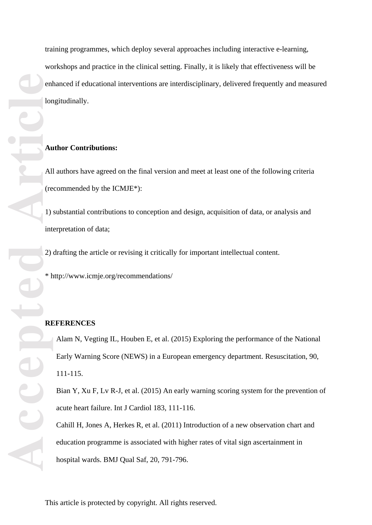training programmes, which deploy several approaches including interactive e -learning, workshops and practice in the clinical setting. Finally, it is likely that effectiveness will be enhanced if educational interventions are interdisciplinary, delivered frequently and measured longitudinally.

### **Author Contributions:**

All authors have agreed on the final version and meet at least one of the following criteria (recommended by the ICMJE\*):

1) substantial contributions to conception and design, acquisition of data, or analysis and interpretation of data;

2) drafting the article or revising it critically for important intellectual content.

\* http://www.icmje.org/recommendations/

#### **REFERENCES**

Alam N, Vegting IL, Houben E, et al. (2015) Exploring the performance of the National Early Warning Score (NEWS) in a European emergency department. Resuscitation, 90, 111 -115.

Bian Y, Xu F, Lv R -J, et al. (2015) An early warning scoring system for the prevention of acute heart failure. Int J Cardiol 183, 111 -116.

Cahill H, Jones A, Herkes R, et al. (2011) Introduction of a new observation chart and education programme is associated with higher rates of vital sign ascertainment in hospital wards. BMJ Qual Saf, 20, 791 -796.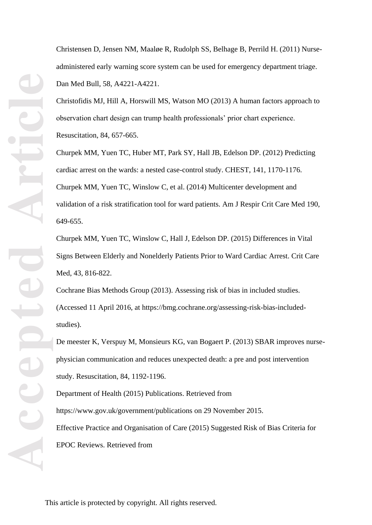Christensen D, Jensen NM, Maaløe R, Rudolph SS, Belhage B, Perrild H. (2011) Nurse administered early warning score system can be used for emergency department triage. Dan Med Bull, 58, A4221 -A4221.

Christofidis MJ, Hill A, Horswill MS, Watson MO (2013) A human factors approach to observation chart design can trump health professionals' prior chart experience. Resuscitation, 84, 657 - 665.

Churpek MM, Yuen TC, Huber MT, Park SY, Hall JB, Edelson DP. (2012) Predicting cardiac arrest on the wards: a nested case -control study. CHEST, 141, 1170 -1176. Churpek MM, Yuen TC, Winslow C, et al. (2014) Multicenter development and validation of a risk stratification tool for ward patients. Am J Respir Crit Care Med 190, 649 -655.

Churpek MM, Yuen TC, Winslow C, Hall J, Edelson DP. (2015) Differences in Vital Signs Between Elderly and Nonelderly Patients Prior to Ward Cardiac Arrest. Crit Care Med, 43, 816-822.

Cochrane Bias Methods Group (2013). Assessing risk of bias in included studies. (Accessed 11 April 2016, at [https://bmg.cochrane.org/assessing](https://bmg.cochrane.org/assessing-risk-bias-included-studies)-risk-bias-includedstudies ) .

De meester K, Verspuy M, Monsieurs KG, van Bogaert P. (2013) SBAR improves nurse physician communication and reduces unexpected death: a pre and post intervention study. Resuscitation, 84, 1192 -1196.

Department of Health (2015) Publications. Retrieved from <https://www.gov.uk/government/publications> on 29 November 2015. Effective Practice and Organisation of Care (2015) Suggested Risk of Bias Criteria for EPOC Reviews. Retrieved from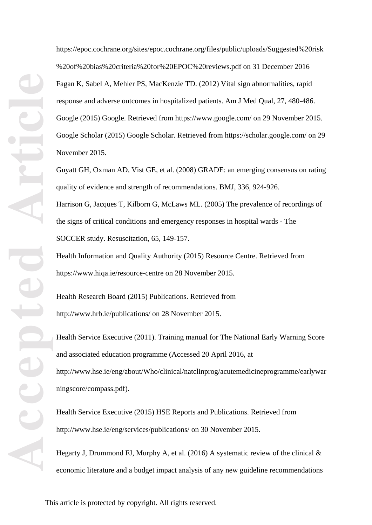[https://epoc.cochrane.org/sites/epoc.cochrane.org/files/public/uploads/Suggested%20risk](https://epoc.cochrane.org/sites/epoc.cochrane.org/files/public/uploads/Suggested%20risk%20of%20bias%20criteria%20for%20EPOC%20reviews.pdf) [%20of%20bias%20criteria%20for%20EPOC%20reviews.pdf](https://epoc.cochrane.org/sites/epoc.cochrane.org/files/public/uploads/Suggested%20risk%20of%20bias%20criteria%20for%20EPOC%20reviews.pdf) on 31 December 2016 Fagan K, Sabel A, Mehler PS, MacKenzie TD. (2012) Vital sign abnormalities, rapid response and adverse outcomes in hospitalized patients. Am J Med Qual, 27, 480 -486. Google (2015) Google. Retrieved from<https://www.google.com/> on 29 November 2015. Google Scholar (2015) Google Scholar. Retrieved from<https://scholar.google.com/> on 29 November 2015.

Guyatt GH, Oxman AD, Vist GE, et al. (2008) GRADE: an emerging consensus on rating quality of evidence and strength of recommendations. BMJ, 336, 924-926. Harrison G, Jacques T, Kilborn G, McLaws ML. (2005) The prevalence of recordings of the signs of critical conditions and emergency responses in hospital wards - The SOCCER study. Resuscitation, 65, 149 -157.

Health Information and Quality Authority (2015) Resource Centre. Retrieved from [https://www.hiqa.ie/resource](https://www.hiqa.ie/resource-centre) -centre on 28 November 2015.

Health Research Board (2015) Publications. Retrieved from <http://www.hrb.ie/publications/> on 28 November 2015.

Health Service Executive (2011). Training manual for The National Early Warning Score and associated education programme (Accessed 20 April 2016, at http://www.hse.ie/eng/about/Who/clinical/natclinprog/acutemedicineprogramme/earlywar ningscore/compass.pdf).

Health Service Executive (2015) HSE Reports and Publications. Retrieved from <http://www.hse.ie/eng/services/publications/> on 30 November 2015.

Hegarty J, Drummond FJ, Murphy A, et al. (2016) A systematic review of the clinical  $\&$ economic literature and a budget impact analysis of any new guideline recommendations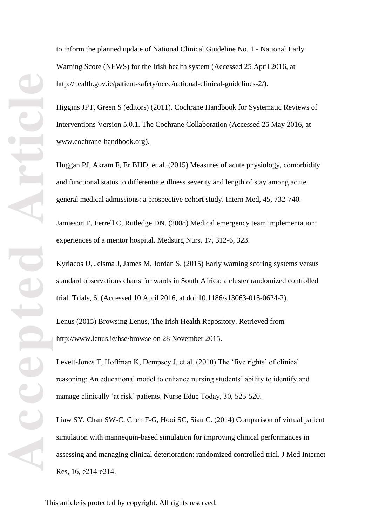to inform the planned update of National Clinical Guideline No. 1 - National Early Warning Score (NEWS) for the Irish health system (Accessed 25 April 2016, at http://health.gov.ie/patient-safety/ncec/national-clinical-guidelines-2/).

Higgins JPT, Green S (editors) (2011). Cochrane Handbook for Systematic Reviews of Interventions Version 5.0.1. The Cochrane Collaboration (Accessed 25 May 2016, at www.cochrane -handbook.org).

Huggan PJ, Akram F, Er BHD, et al. (2015) Measures of acute physiology, comorbidity and functional status to differentiate illness severity and length of stay among acute general medical admissions: a prospective cohort study. Intern Med, 45, 732 -740.

Jamieson E, Ferrell C, Rutledge DN. (2008) Medical emergency team implementation: experiences of a mentor hospital. Medsurg Nurs, 17, 312 -6, 323.

Kyriacos U, Jelsma J, James M, Jordan S. (2015) Early warning scoring systems versus standard observations charts for wards in South Africa: a cluster randomized controlled trial. Trials, 6. (Accessed 10 April 2016, at doi:10.1186/s13063 -015 -0624 -2).

Lenus (2015) Browsing Lenus, The Irish Health Repository. Retrieved from <http://www.lenus.ie/hse/browse> on 28 November 2015.

Levett -Jones T, Hoffman K, Dempsey J, et al. (2010) The 'five rights' of clinical reasoning: An educational model to enhance nursing students' ability to identify and manage clinically 'at risk' patients. Nurse Educ Today, 30, 525 -520.

Liaw SY, Chan SW -C, Chen F -G, Hooi SC, Siau C. (2014) Comparison of virtual patient simulation with mannequin -based simulation for improving clinical performances in assessing and managing clinical deterioration: randomized controlled trial. J Med Internet Res, 16, e214 -e214.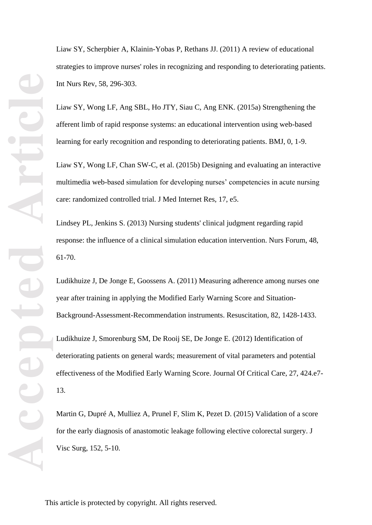Liaw SY, Scherpbier A, Klainin -Yobas P, Rethans JJ. (2011) A review of educational strategies to improve nurses' roles in recognizing and responding to deteriorating patients. Int Nurs Rev, 58, 296 -303.

Liaw SY, Wong LF, Ang SBL, Ho JTY, Siau C, Ang ENK. (2015a) Strengthening the afferent limb of rapid response systems: an educational intervention using web -based learning for early recognition and responding to deteriorating patients. BMJ, 0, 1 -9.

Liaw SY, Wong LF, Chan SW -C, et al. (2015b) Designing and evaluating an interactive multimedia web -based simulation for developing nurses' competencies in acute nursing care: randomized controlled trial. J Med Internet Res, 17, e5.

Lindsey PL, Jenkins S. (2013) Nursing students' clinical judgment regarding rapid response: the influence of a clinical simulation education intervention. Nurs Forum, 48, 61 -70.

Ludikhuize J, De Jonge E, Goossens A. (2011) Measuring adherence among nurses one year after training in applying the Modified Early Warning Score and Situation - Background -Assessment -Recommendation instruments. Resuscitation, 82, 1428 -1433.

Ludikhuize J, Smorenburg SM, De Rooij SE, De Jonge E. (2012) Identification of deteriorating patients on general wards; measurement of vital parameters and potential effectiveness of the Modified Early Warning Score. Journal Of Critical Care, 27, 424.e7 - 13.

Martin G, Dupré A, Mulliez A, Prunel F, Slim K, Pezet D. (2015) Validation of a score for the early diagnosis of anastomotic leakage following elective colorectal surgery. J Visc Surg, 152, 5 -10.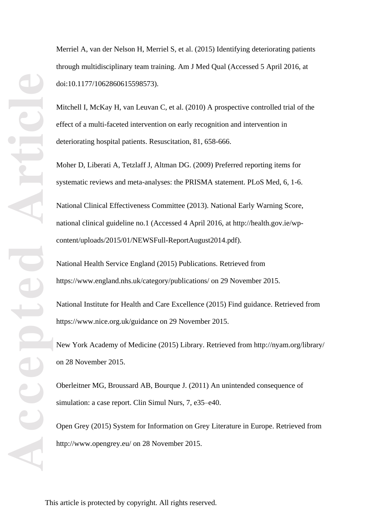Merriel A, van der Nelson H, Merriel S, et al. (2015) Identifying deteriorating patients through multidisciplinary team training. Am J Med Qual (Accessed 5 April 2016, at doi:10.1177/1062860615598573).

Mitchell I, McKay H, van Leuvan C, et al. (2010) A prospective controlled trial of the effect of a multi -faceted intervention on early recognition and intervention in deteriorating hospital patients. Resuscitation, 81, 658-666.

Moher D, Liberati A, Tetzlaff J, Altman DG. (2009) Preferred reporting items for systematic reviews and meta -analyses: the PRISMA statement. PLoS Med, 6, 1 -6.

National Clinical Effectiveness Committee (2013). National Early Warning Score, national clinical guideline no.1 (Accessed 4 April 2016, at http://health.gov.ie/wp content/uploads/2015/01/NEWSFull -ReportAugust2014.pdf).

National Health Service England (2015) Publications. Retrieved from <https://www.england.nhs.uk/category/publications/> on 29 November 2015.

National Institute for Health and Care Excellence (2015) Find guidance. Retrieved from <https://www.nice.org.uk/guidance> on 29 November 2015.

New York Academy of Medicine (2015) Library. Retrieved from<http://nyam.org/library/> on 28 November 2015.

Oberleitner MG, Broussard AB, Bourque J. (2011) An unintended consequence of simulation: a case report. Clin Simul Nurs, 7, e35-e40.

Open Grey (2015) System for Information on Grey Literature in Europe. Retrieved from <http://www.opengrey.eu/> on 28 November 2015.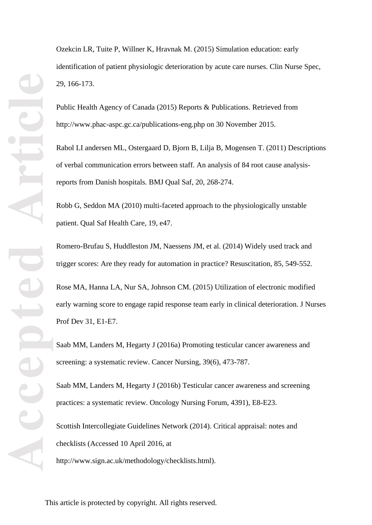Ozekcin LR, Tuite P, Willner K, Hravnak M. (2015) Simulation education: early identification of patient physiologic deterioration by acute care nurses. Clin Nurse Spec, 29, 166 -173.

Public Health Agency of Canada (2015) Reports & Publications. Retrieved from http://www.phac [-aspc.gc.ca/publications](http://www.phac-aspc.gc.ca/publications-eng.php) -eng.php on 30 November 2015.

Rabol LI andersen ML, Ostergaard D, Bjorn B, Lilja B, Mogensen T. (2011) Descriptions of verbal communication errors between staff. An analysis of 84 root cause analysis reports from Danish hospitals. BMJ Qual Saf, 20, 268 -274.

Robb G, Seddon MA (2010) multi -faceted approach to the physiologically unstable patient. Qual Saf Health Care, 19, e47.

Romero -Brufau S, Huddleston JM, Naessens JM, et al. (2014) Widely used track and trigger scores: Are they ready for automation in practice? Resuscitation, 85, 549 -552.

Rose MA, Hanna LA, Nur SA, Johnson CM. (2015) Utilization of electronic modified early warning score to engage rapid response team early in clinical deterioration. J Nurses Prof Dev 31, E1 -E7.

Saab MM, Landers M, Hegarty J (2016a) Promoting testicular cancer awareness and screening: a systematic review. Cancer Nursing, 39(6), 473 -787.

Saab MM, Landers M, Hegarty J (2016b) Testicular cancer awareness and screening practices: a systematic review. Oncology Nursing Forum, 4391), E8 -E23.

Scottish Intercollegiate Guidelines Network (2014). Critical appraisal: notes and checklists (Accessed 10 April 2016, at

[http://www.sign.ac.uk/methodology/checklists.html\)](http://www.sign.ac.uk/methodology/checklists.html).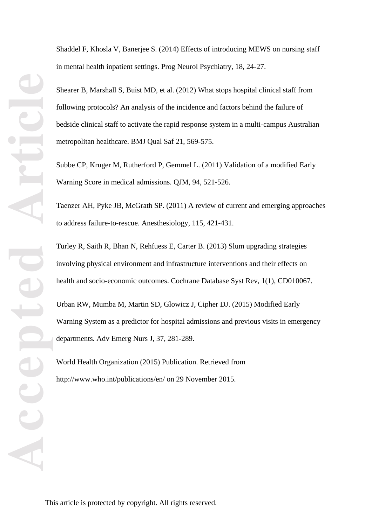Shaddel F, Khosla V, Banerjee S. (2014) Effects of introducing MEWS on nursing staff in mental health inpatient settings. Prog Neurol Psychiatry, 18, 24 -27.

Shearer B, Marshall S, Buist MD, et al. (2012) What stops hospital clinical staff from following protocols? An analysis of the incidence and factors behind the failure of bedside clinical staff to activate the rapid response system in a multi -campus Australian metropolitan healthcare. BMJ Qual Saf 21, 569 -575.

Subbe CP, Kruger M, Rutherford P, Gemmel L. (2011) Validation of a modified Early Warning Score in medical admissions. QJM, 94, 521 -526.

Taenzer AH, Pyke JB, McGrath SP. (2011) A review of current and emerging approaches to address failure-to-rescue. Anesthesiology, 115, 421-431.

Turley R, Saith R, Bhan N, Rehfuess E, Carter B. (2013) Slum upgrading strategies involving physical environment and infrastructure interventions and their effects on health and socio-economic outcomes. Cochrane Database Syst Rev, 1(1), CD010067.

Urban RW, Mumba M, Martin SD, Glowicz J, Cipher DJ. (2015) Modified Early Warning System as a predictor for hospital admissions and previous visits in emergency departments. Adv Emerg Nurs J, 37, 281 -289.

World Health Organization (2015) Publication. Retrieved from <http://www.who.int/publications/en/> on 29 November 2015.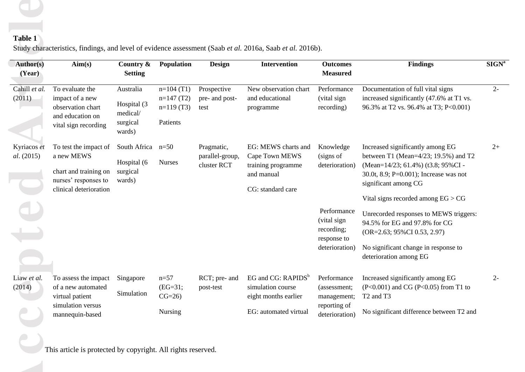# **Table 1**

| <b>Author(s)</b><br>(Year) | Aim(s)                                                                                                          | Country &<br><b>Setting</b>                                | Population                                            | <b>Design</b>                                | <b>Intervention</b>                                                                            | <b>Outcomes</b><br><b>Measured</b>                                        | <b>Findings</b>                                                                                                                                                                                                              | SIGN <sup>a</sup> |
|----------------------------|-----------------------------------------------------------------------------------------------------------------|------------------------------------------------------------|-------------------------------------------------------|----------------------------------------------|------------------------------------------------------------------------------------------------|---------------------------------------------------------------------------|------------------------------------------------------------------------------------------------------------------------------------------------------------------------------------------------------------------------------|-------------------|
| Cahill et al.<br>(2011)    | To evaluate the<br>impact of a new<br>observation chart<br>and education on<br>vital sign recording             | Australia<br>Hospital (3<br>medical/<br>surgical<br>wards) | $n=104(T1)$<br>$n=147(T2)$<br>$n=119(T3)$<br>Patients | Prospective<br>pre- and post-<br>test        | New observation chart<br>and educational<br>programme                                          | Performance<br>(vital sign<br>recording)                                  | Documentation of full vital signs<br>increased significantly (47.6% at T1 vs.<br>96.3% at T2 vs. 96.4% at T3; P<0.001)                                                                                                       | $2 -$             |
| Kyriacos et<br>al. (2015)  | To test the impact of<br>a new MEWS<br>chart and training on<br>nurses' responses to<br>clinical deterioration  | South Africa<br>Hospital (6<br>surgical<br>wards)          | $n=50$<br><b>Nurses</b>                               | Pragmatic,<br>parallel-group,<br>cluster RCT | EG: MEWS charts and<br>Cape Town MEWS<br>training programme<br>and manual<br>CG: standard care | Knowledge<br>(signs of<br>deterioration)                                  | Increased significantly among EG<br>between T1 (Mean= $4/23$ ; 19.5%) and T2<br>(Mean=14/23; 61.4%) (t3.8; 95%CI -<br>30.0t, 8.9; P=0.001); Increase was not<br>significant among CG<br>Vital signs recorded among $EG > CG$ | $2+$              |
|                            |                                                                                                                 |                                                            |                                                       |                                              |                                                                                                | Performance<br>(vital sign<br>recording;<br>response to<br>deterioration) | Unrecorded responses to MEWS triggers:<br>94.5% for EG and 97.8% for CG<br>$(OR=2.63; 95\% CI 0.53, 2.97)$<br>No significant change in response to<br>deterioration among EG                                                 |                   |
| Liaw et al.<br>(2014)      | To assess the impact Singapore<br>of a new automated<br>virtual patient<br>simulation versus<br>mannequin-based | Simulation                                                 | $n=57$<br>$(EG=31;$<br>$CG=26$<br>Nursing             | post-test                                    | simulation course<br>eight months earlier<br>EG: automated virtual                             | (assessment;<br>management;<br>reporting of<br>deterioration)             | RCT; pre- and EG and CG: RAPIDS <sup>b</sup> Performance Increased significantly among EG<br>$(P<0.001)$ and CG $(P<0.05)$ from T1 to<br>T <sub>2</sub> and T <sub>3</sub><br>No significant difference between T2 and       |                   |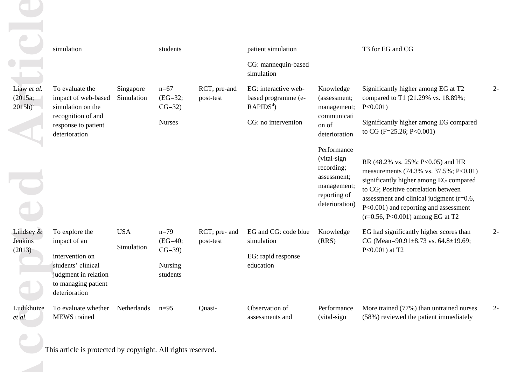|                                      | simulation                                                                                                                              |                          | students                                               |                            | patient simulation<br>CG: mannequin-based                             |                                                                                                          | T3 for EG and CG                                                                                                                                                                                                                                                                        |       |
|--------------------------------------|-----------------------------------------------------------------------------------------------------------------------------------------|--------------------------|--------------------------------------------------------|----------------------------|-----------------------------------------------------------------------|----------------------------------------------------------------------------------------------------------|-----------------------------------------------------------------------------------------------------------------------------------------------------------------------------------------------------------------------------------------------------------------------------------------|-------|
|                                      |                                                                                                                                         |                          |                                                        |                            | simulation                                                            |                                                                                                          |                                                                                                                                                                                                                                                                                         |       |
| Liaw et al.<br>(2015a;<br>$2015b)^c$ | To evaluate the<br>impact of web-based<br>simulation on the                                                                             | Singapore<br>Simulation  | $n=67$<br>$(EG=32;$<br>$CG=32)$                        | RCT; pre-and<br>post-test  | EG: interactive web-<br>based programme (e-<br>$RAPIDS^d$ )           | Knowledge<br>(assessment;<br>management;                                                                 | Significantly higher among EG at T2<br>compared to T1 (21.29% vs. 18.89%;<br>$P < 0.001$ )                                                                                                                                                                                              | $2 -$ |
|                                      | recognition of and<br>response to patient<br>deterioration                                                                              |                          | <b>Nurses</b>                                          |                            | CG: no intervention                                                   | communicati<br>on of<br>deterioration                                                                    | Significantly higher among EG compared<br>to CG (F=25.26; P<0.001)                                                                                                                                                                                                                      |       |
|                                      |                                                                                                                                         |                          |                                                        |                            |                                                                       | Performance<br>(vital-sign<br>recording;<br>assessment;<br>management;<br>reporting of<br>deterioration) | RR (48.2% vs. 25%; P<0.05) and HR<br>measurements (74.3% vs. 37.5%; P<0.01)<br>significantly higher among EG compared<br>to CG; Positive correlation between<br>assessment and clinical judgment (r=0.6,<br>P<0.001) and reporting and assessment<br>$(r=0.56, P<0.001)$ among EG at T2 |       |
| Lindsey $\&$<br>Jenkins<br>(2013)    | To explore the<br>impact of an<br>intervention on<br>students' clinical<br>judgment in relation<br>to managing patient<br>deterioration | <b>USA</b><br>Simulation | $n=79$<br>$(EG=40;$<br>$CG=39)$<br>Nursing<br>students | RCT; pre- and<br>post-test | EG and CG: code blue<br>simulation<br>EG: rapid response<br>education | Knowledge<br>(RRS)                                                                                       | EG had significantly higher scores than<br>CG (Mean=90.91±8.73 vs. 64.8±19.69;<br>$P<0.001$ ) at T2                                                                                                                                                                                     | $2 -$ |
| Ludikhuize<br>et al.                 | To evaluate whether<br><b>MEWS</b> trained                                                                                              | Netherlands              | $n=95$                                                 | Quasi-                     | Observation of<br>assessments and                                     | Performance<br>(vital-sign                                                                               | More trained (77%) than untrained nurses<br>(58%) reviewed the patient immediately                                                                                                                                                                                                      | $2 -$ |
|                                      | This article is protected by copyright. All rights reserved.                                                                            |                          |                                                        |                            |                                                                       |                                                                                                          |                                                                                                                                                                                                                                                                                         |       |
|                                      |                                                                                                                                         |                          |                                                        |                            |                                                                       |                                                                                                          |                                                                                                                                                                                                                                                                                         |       |
|                                      |                                                                                                                                         |                          |                                                        |                            |                                                                       |                                                                                                          |                                                                                                                                                                                                                                                                                         |       |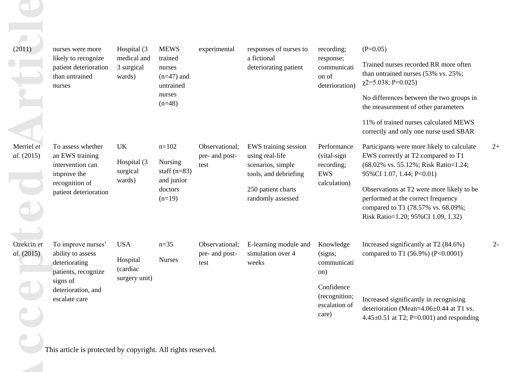| (2011)                   | nurses were more                                                                | Hospital (3)                                   | <b>MEWS</b>                                        | experimental                             | responses of nurses to                                                                | recording;                                            | $(P=0.05)$                                                                                                                                                  |       |
|--------------------------|---------------------------------------------------------------------------------|------------------------------------------------|----------------------------------------------------|------------------------------------------|---------------------------------------------------------------------------------------|-------------------------------------------------------|-------------------------------------------------------------------------------------------------------------------------------------------------------------|-------|
|                          | likely to recognize<br>patient deterioration<br>than untrained<br>nurses        | medical and<br>3 surgical<br>wards)            | trained<br>nurses<br>$(n=47)$ and<br>untrained     |                                          | a fictional<br>deteriorating patient                                                  | response;<br>communicati<br>on of<br>deterioration)   | Trained nurses recorded RR more often<br>than untrained nurses (53% vs. 25%;<br>$\chi$ 2=5.038; P=0.025)                                                    |       |
|                          |                                                                                 |                                                | nurses<br>$(n=48)$                                 |                                          |                                                                                       |                                                       | No differences between the two groups in<br>the measurement of other parameters                                                                             |       |
|                          |                                                                                 |                                                |                                                    |                                          |                                                                                       |                                                       | 11% of trained nurses calculated MEWS<br>correctly and only one nurse used SBAR                                                                             |       |
| Merriel et<br>al. (2015) | To assess whether<br>an EWS training<br>intervention can<br>improve the         | <b>UK</b><br>Hospital (3<br>surgical<br>wards) | $n=102$<br>Nursing<br>staff $(n=83)$<br>and junior | Observational:<br>pre- and post-<br>test | EWS training session<br>using real-life<br>scenarios, simple<br>tools, and debriefing | Performance<br>(vital-sign<br>recording;<br>EWS       | Participants were more likely to calculate<br>EWS correctly at T2 compared to T1<br>(68.02% vs. 55.12%; Risk Ratio=1.24;<br>95%CI 1.07, 1.44; P<0.01)       | $2+$  |
|                          | recognition of<br>patient deterioration                                         |                                                | doctors<br>$(n=19)$                                |                                          | 250 patient charts<br>randomly assessed                                               | calculation)                                          | Observations at T2 were more likely to be<br>performed at the correct frequency<br>compared to T1 (78.57% vs. 68.09%;<br>Risk Ratio=1.20; 95%CI 1.09, 1.32) |       |
| Ozekcin et               |                                                                                 | <b>USA</b>                                     | $n = 35$                                           | Observational;                           |                                                                                       |                                                       |                                                                                                                                                             | $2 -$ |
| al. (2015)               | To improve nurses'<br>ability to assess<br>deteriorating<br>patients, recognize | Hospital<br>(cardiac                           | <b>Nurses</b>                                      | pre- and post-<br>test                   | E-learning module and<br>simulation over 4<br>weeks                                   | Knowledge<br>(signs;<br>communicati<br>on)            | Increased significantly at T2 (84.6%)<br>compared to T1 (56.9%) (P<0.0001)                                                                                  |       |
|                          | signs of<br>deterioration, and<br>escalate care                                 | surgery unit)                                  |                                                    |                                          |                                                                                       | Confidence<br>(recognition;<br>escalation of<br>care) | Increased significantly in recognising<br>deterioration (Mean=4.06±0.44 at T1 vs.<br>4.45 $\pm$ 0.51 at T2; P=0.001) and responding                         |       |
|                          | This article is protected by copyright. All rights reserved.                    |                                                |                                                    |                                          |                                                                                       |                                                       |                                                                                                                                                             |       |
|                          |                                                                                 |                                                |                                                    |                                          |                                                                                       |                                                       |                                                                                                                                                             |       |
|                          |                                                                                 |                                                |                                                    |                                          |                                                                                       |                                                       |                                                                                                                                                             |       |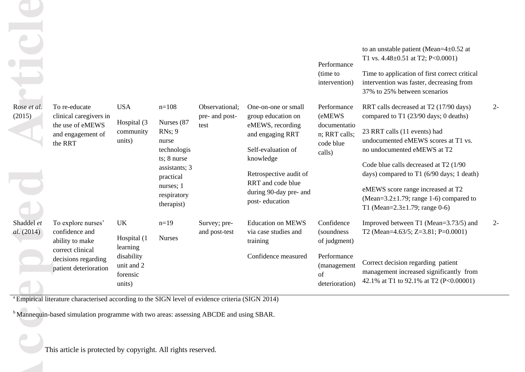| Rose et al.              | To re-educate                                                                                                                                                                                                                                                                     | <b>USA</b>                                                                             | $n=108$                                                                                                                                | Observational;                | One-on-one or small                                                                                                                                                                      | Performance<br>(time to<br>intervention)<br>Performance                                         | to an unstable patient (Mean= $4\pm0.52$ at<br>T1 vs. $4.48 \pm 0.51$ at T2; P<0.0001)<br>Time to application of first correct critical<br>intervention was faster, decreasing from<br>37% to 25% between scenarios<br>RRT calls decreased at T2 (17/90 days)                                                                                                    | 2-    |
|--------------------------|-----------------------------------------------------------------------------------------------------------------------------------------------------------------------------------------------------------------------------------------------------------------------------------|----------------------------------------------------------------------------------------|----------------------------------------------------------------------------------------------------------------------------------------|-------------------------------|------------------------------------------------------------------------------------------------------------------------------------------------------------------------------------------|-------------------------------------------------------------------------------------------------|------------------------------------------------------------------------------------------------------------------------------------------------------------------------------------------------------------------------------------------------------------------------------------------------------------------------------------------------------------------|-------|
| (2015)                   | clinical caregivers in<br>the use of eMEWS<br>and engagement of<br>the RRT                                                                                                                                                                                                        | Hospital (3)<br>community<br>units)                                                    | Nurses (87<br>$RNs$ ; 9<br>nurse<br>technologis<br>ts; 8 nurse<br>assistants; 3<br>practical<br>nurses; 1<br>respiratory<br>therapist) | pre- and post-<br>test        | group education on<br>eMEWS, recording<br>and engaging RRT<br>Self-evaluation of<br>knowledge<br>Retrospective audit of<br>RRT and code blue<br>during 90-day pre- and<br>post-education | (eMEWS<br>documentatio<br>n; RRT calls;<br>code blue<br>calls)                                  | compared to T1 (23/90 days; 0 deaths)<br>23 RRT calls (11 events) had<br>undocumented eMEWS scores at T1 vs.<br>no undocumented eMEWS at T2<br>Code blue calls decreased at T2 (1/90)<br>days) compared to T1 (6/90 days; 1 death)<br>eMEWS score range increased at T2<br>(Mean= $3.2\pm1.79$ ; range 1-6) compared to<br>T1 (Mean= $2.3 \pm 1.79$ ; range 0-6) |       |
| Shaddel et<br>al. (2014) | To explore nurses'<br>confidence and<br>ability to make<br>correct clinical<br>decisions regarding<br>patient deterioration                                                                                                                                                       | <b>UK</b><br>Hospital (1<br>learning<br>disability<br>unit and 2<br>forensic<br>units) | $n=19$<br><b>Nurses</b>                                                                                                                | Survey; pre-<br>and post-test | <b>Education on MEWS</b><br>via case studies and<br>training<br>Confidence measured                                                                                                      | Confidence<br>(soundness)<br>of judgment)<br>Performance<br>(management<br>of<br>deterioration) | Improved between T1 (Mean=3.73/5) and<br>T2 (Mean=4.63/5; Z=3.81; P=0.0001)<br>Correct decision regarding patient<br>management increased significantly from<br>42.1% at T1 to 92.1% at T2 (P<0.00001)                                                                                                                                                           | $2 -$ |
|                          | <sup>a</sup> Empirical literature characterised according to the SIGN level of evidence criteria (SIGN 2014)<br><sup>b</sup> Mannequin-based simulation programme with two areas: assessing ABCDE and using SBAR.<br>This article is protected by copyright. All rights reserved. |                                                                                        |                                                                                                                                        |                               |                                                                                                                                                                                          |                                                                                                 |                                                                                                                                                                                                                                                                                                                                                                  |       |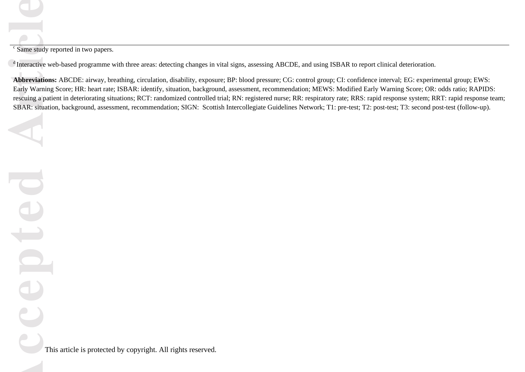<sup>c</sup> Same study reported in two papers.

 $\sigma$ <sup>d</sup>Interactive web-based programme with three areas: detecting changes in vital signs, assessing ABCDE, and using ISBAR to report clinical deterioration.

**Abbreviations:** ABCDE: airway, breathing, circulation, disability, exposure; BP: blood pressure; CG: control group; CI: confidence interval; EG: experimental group; EWS: Early Warning Score; HR: heart rate; ISBAR: identify, situation, background, assessment, recommendation; MEWS: Modified Early Warning Score; OR: odds ratio; RAPIDS: rescuing a patient in deteriorating situations; RCT: randomized controlled trial; RN: registered nurse; RR: respiratory rate; RRS: rapid response system; RRT: rapid response team; SBAR: situation, background, assessment, recommendation; SIGN: Scottish Intercollegiate Guidelines Network; T1: pre-test; T2: post-test; T3: second post-test (follow-up).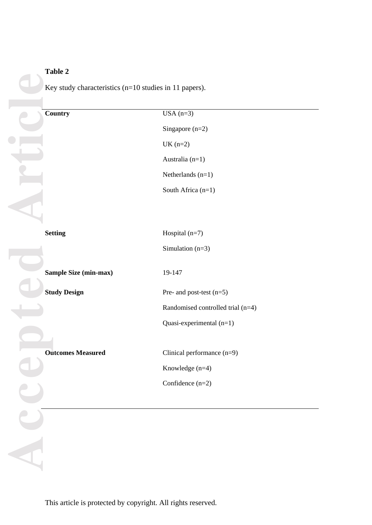# **Table 2**

Key study characteristics (n=10 studies in 11 papers).

| <b>Country</b>               | $USA(n=3)$                        |
|------------------------------|-----------------------------------|
|                              | Singapore $(n=2)$                 |
|                              | $UK(n=2)$                         |
|                              | Australia (n=1)                   |
|                              | Netherlands $(n=1)$               |
|                              | South Africa (n=1)                |
|                              |                                   |
|                              |                                   |
| <b>Setting</b>               | Hospital $(n=7)$                  |
|                              | Simulation $(n=3)$                |
|                              |                                   |
| <b>Sample Size (min-max)</b> | 19-147                            |
| <b>Study Design</b>          | Pre- and post-test $(n=5)$        |
|                              | Randomised controlled trial (n=4) |
|                              | Quasi-experimental $(n=1)$        |
|                              |                                   |
| <b>Outcomes Measured</b>     | Clinical performance $(n=9)$      |
|                              | Knowledge $(n=4)$                 |
|                              | Confidence $(n=2)$                |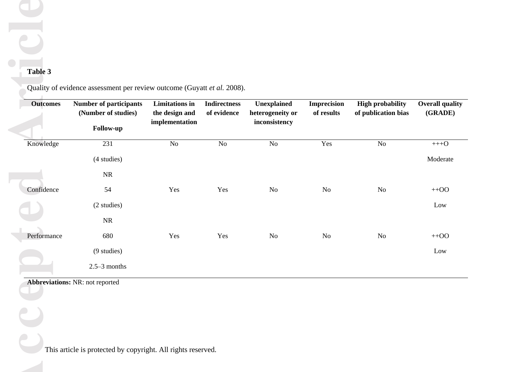# **Table 3**

|                | of results | Unexplained<br>heterogeneity or<br>inconsistency | <b>Indirectness</b><br>of evidence | <b>Limitations</b> in<br>the design and<br>implementation | <b>Number of participants</b><br>(Number of studies)<br>Follow-up | <b>Outcomes</b> |
|----------------|------------|--------------------------------------------------|------------------------------------|-----------------------------------------------------------|-------------------------------------------------------------------|-----------------|
| $\rm No$       | Yes        | $\rm No$                                         | No                                 | No                                                        | 231                                                               | Knowledge       |
|                |            |                                                  |                                    |                                                           | (4 studies)                                                       |                 |
|                |            |                                                  |                                    |                                                           | $\rm NR$                                                          |                 |
| N <sub>o</sub> | No         | No                                               | Yes                                | Yes                                                       | 54                                                                | Confidence      |
|                |            |                                                  |                                    |                                                           | (2 studies)                                                       |                 |
|                |            |                                                  |                                    |                                                           | NR                                                                |                 |
| $\rm No$       | No         | No                                               | Yes                                | Yes                                                       | 680                                                               | Performance     |
|                |            |                                                  |                                    |                                                           | (9 studies)                                                       |                 |
|                |            |                                                  |                                    |                                                           | $2.5 - 3$ months                                                  |                 |
|                |            |                                                  |                                    |                                                           | <b>Abbreviations: NR: not reported</b>                            |                 |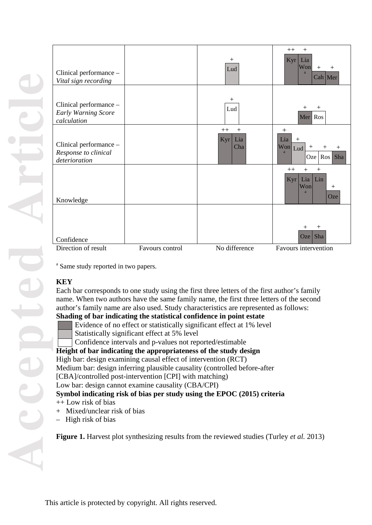| Clinical performance -<br>Vital sign recording                      |                 | $^{+}$<br>Lud                    | $++$<br>$+$<br>Lia<br>Kyr<br>Won<br>$+$<br>$+$<br>a<br>$Cah$ Mer                                  |
|---------------------------------------------------------------------|-----------------|----------------------------------|---------------------------------------------------------------------------------------------------|
| Clinical performance -<br><b>Early Warning Score</b><br>calculation |                 | $^{+}$<br>Lud                    | $^{+}$<br>┿<br>Mer Ros                                                                            |
| Clinical performance -<br>Response to clinical<br>deterioration     |                 | $+$<br>$++$<br>Kyr<br>Lia<br>Cha | $^{+}$<br>Lia<br>$^{+}$<br>Won<br>$^{+}$<br>$^+$<br>$\mathrm{+}$<br>Lud<br>a<br>Ros<br>Sha<br>Oze |
| Knowledge                                                           |                 |                                  | $++$<br>$+$<br>$^{+}$<br>Lia<br>Lin<br>Kyr<br>Won<br>$^{+}$<br>a<br>Oze                           |
| Confidence                                                          |                 |                                  | $^{+}$<br>$\hspace{0.1mm} +\hspace{0.1mm}$<br>Sha<br>Oze                                          |
| Direction of result                                                 | Favours control | No difference                    | Favours intervention                                                                              |

<sup>a</sup> Same study reported in two papers.

# **KEY**

Each bar corresponds to one study using the first three letters of the first author's family name. When two authors have the same family name, the first three letters of the second author's family name are also used. Study characteristics are represented as follows:

# **Shading of bar indicating the statistical confidence in point estate**

Evidence of no effect or statistically significant effect at 1% level

Statistically significant effect at 5% level

Confidence intervals and p-values not reported/estimable

# **Height of bar indicating the appropriateness of the study design**

# High bar: design examining causal effect of intervention (RCT)

Medium bar: design inferring plausible causality (controlled before -after

[CBA]/controlled post-intervention [CPI] with matching)

Low bar: design cannot examine causality (CBA /CPI)

# **Symbol indicating risk of bias per study using the EPOC (2015) criteria**

++ Low risk of bias

- + Mixed/unclear risk of bias
- High risk of bias

**Figure 1 .** Harvest plot synthesizing results from the reviewed studies (Turley *et al.* 2013)